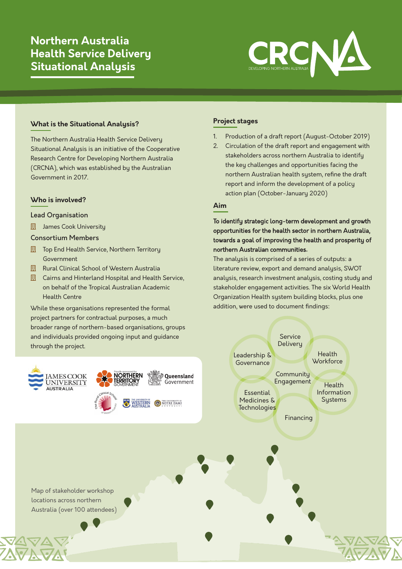# **Northern Australia Health Service Delivery Situational Analysis**



# **What is the Situational Analysis?**

The Northern Australia Health Service Delivery Situational Analysis is an initiative of the Cooperative Research Centre for Developing Northern Australia (CRCNA), which was established by the Australian Government in 2017.

## **Who is involved?**

#### Lead Organisation

**| James Cook University** 

#### Consortium Members

- **Fig.** Top End Health Service, Northern Territory Government
- **Ell** Rural Clinical School of Western Australia
- **日 Cairns and Hinterland Hospital and Health Service,** on behalf of the Tropical Australian Academic Health Centre

While these organisations represented the formal project partners for contractual purposes, a much broader range of northern-based organisations, groups and individuals provided ongoing input and guidance through the project.



# **Project stages**

- 1. Production of a draft report (August-October 2019)
- 2. Circulation of the draft report and engagement with stakeholders across northern Australia to identify the key challenges and opportunities facing the northern Australian health system, refine the draft report and inform the development of a policy action plan (October-January 2020)

# **Aim**

To identify strategic long-term development and growth opportunities for the health sector in northern Australia, towards a goal of improving the health and prosperity of northern Australian communities**.**

The analysis is comprised of a series of outputs: a literature review, export and demand analysis, SWOT analysis, research investment analysis, costing study and stakeholder engagement activities. The six World Health Organization Health system building blocks, plus one addition, were used to document findings:

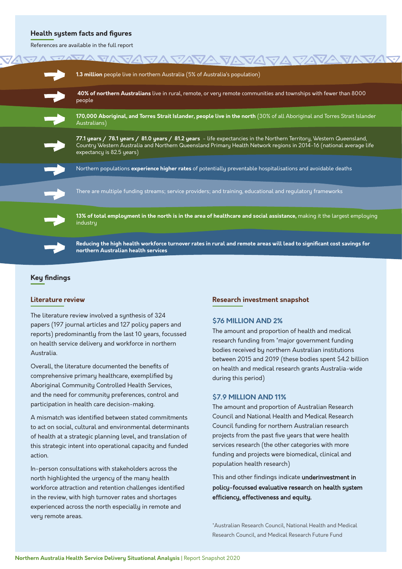#### **Health system facts and figures**

References are available in the full report

| <u>JAVA VAVAVA VAVA VAVA VAVAVAVAV.</u>                                                                                                                                                                                                                                 |
|-------------------------------------------------------------------------------------------------------------------------------------------------------------------------------------------------------------------------------------------------------------------------|
| 1.3 million people live in northern Australia (5% of Australia's population)                                                                                                                                                                                            |
| 40% of northern Australians live in rural, remote, or very remote communities and townships with fewer than 8000<br>people                                                                                                                                              |
| 170,000 Aboriginal, and Torres Strait Islander, people live in the north (30% of all Aboriginal and Torres Strait Islander<br>Australians)                                                                                                                              |
| 77.1 years / 78.1 years / 81.0 years / 81.2 years - life expectancies in the Northern Territory, Western Queensland,<br>Country Western Australia and Northern Queensland Primary Health Network regions in 2014-16 (national average life<br>expectancy is 82.5 years) |
| Northern populations experience higher rates of potentially preventable hospitalisations and avoidable deaths                                                                                                                                                           |
| There are multiple funding streams; service providers; and training, educational and regulatory frameworks                                                                                                                                                              |
| 13% of total employment in the north is in the area of healthcare and social assistance, making it the largest employing<br>industru                                                                                                                                    |
| Reducing the high health workforce turnover rates in rural and remote areas will lead to significant cost savings for<br>northern Australian health services                                                                                                            |
|                                                                                                                                                                                                                                                                         |

## **Key findings**

#### **Literature review**

The literature review involved a synthesis of 324 papers (197 journal articles and 127 policy papers and reports) predominantly from the last 10 years, focussed on health service delivery and workforce in northern Australia.

Overall, the literature documented the benefits of comprehensive primary healthcare, exemplified by Aboriginal Community Controlled Health Services, and the need for community preferences, control and participation in health care decision-making.

A mismatch was identified between stated commitments to act on social, cultural and environmental determinants of health at a strategic planning level, and translation of this strategic intent into operational capacity and funded action.

In-person consultations with stakeholders across the north highlighted the urgency of the many health workforce attraction and retention challenges identified in the review, with high turnover rates and shortages experienced across the north especially in remote and very remote areas.

#### **Research investment snapshot**

#### **\$76 MILLION AND 2%**

The amount and proportion of health and medical research funding from \*major government funding bodies received by northern Australian institutions between 2015 and 2019 (these bodies spent \$4.2 billion on health and medical research grants Australia-wide during this period)

#### **\$7.9 MILLION AND 11%**

The amount and proportion of Australian Research Council and National Health and Medical Research Council funding for northern Australian research projects from the past five years that were health services research (the other categories with more funding and projects were biomedical, clinical and population health research)

This and other findings indicate underinvestment in policy-focu**s**sed evaluative research on health system efficiency, effectiveness and equity.

\*Australian Research Council, National Health and Medical Research Council, and Medical Research Future Fund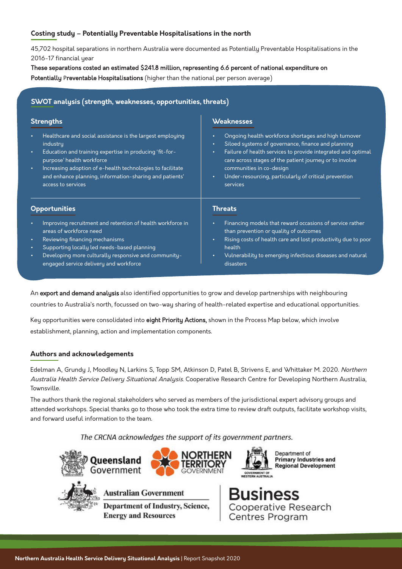# **Costing study – Potentially Preventable Hospitalisations in the north**

45,702 hospital separations in northern Australia were documented as Potentially Preventable Hospitalisations in the 2016-17 financial year

These separations costed an estimated \$241.8 million, representing 6.6 percent of national expenditure on Potentially Preventable Hospitalisations (higher than the national per person average)

## **SWOT analysis (strength, weaknesses, opportunities, threats)**

### **Weaknesses**

- Ongoing health workforce shortages and high turnover
- Siloed systems of governance, finance and planning
- Failure of health services to provide integrated and optimal care across stages of the patient journey or to involve communities in co-design
- Under-resourcing, particularly of critical prevention services

#### **Opportunities**

**Strengths**

industry

• Improving recruitment and retention of health workforce in areas of workforce need

• Healthcare and social assistance is the largest employing

• Increasing adoption of e-health technologies to facilitate and enhance planning, information-sharing and patients'

• Education and training expertise in producing 'fit-for-

• Reviewing financing mechanisms

purpose' health workforce

access to services

- Supporting locally led needs-based planning
- Developing more culturally responsive and communityengaged service delivery and workforce

#### **Threats**

- Financing models that reward occasions of service rather than prevention or quality of outcomes
- Rising costs of health care and lost productivity due to poor health
- Vulnerability to emerging infectious diseases and natural disasters

An export and demand analysis also identified opportunities to grow and develop partnerships with neighbouring

countries to Australia's north, focussed on two-way sharing of health-related expertise and educational opportunities.

Key opportunities were consolidated into eight Priority Actions, shown in the Process Map below, which involve establishment, planning, action and implementation components.

## **Authors and acknowledgements**

Edelman A, Grundy J, Moodley N, Larkins S, Topp SM, Atkinson D, Patel B, Strivens E, and Whittaker M. 2020. Northern Australia Health Service Delivery Situational Analysis. Cooperative Research Centre for Developing Northern Australia, Townsville.

The authors thank the regional stakeholders who served as members of the jurisdictional expert advisory groups and attended workshops. Special thanks go to those who took the extra time to review draft outputs, facilitate workshop visits, and forward useful information to the team.

The CRCNA acknowledges the support of its government partners.



Cooperative Research<br>Centres Program **Department of Industry, Science, Energy and Resources**